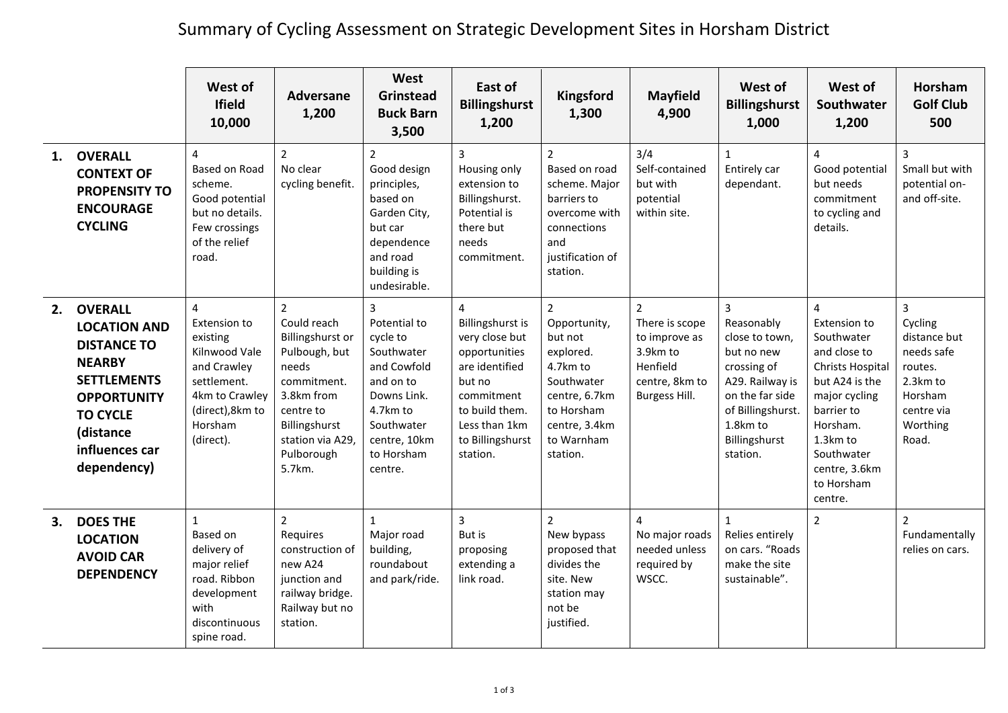## Summary of Cycling Assessment on Strategic Development Sites in Horsham District

|    |                                                                                                                                                                                           | West of<br><b>Ifield</b><br>10,000                                                                                                         | <b>Adversane</b><br>1,200                                                                                                                                                          | West<br><b>Grinstead</b><br><b>Buck Barn</b><br>3,500                                                                                                                  | East of<br><b>Billingshurst</b><br>1,200                                                                                                                                                  | Kingsford<br>1,300                                                                                                                                         | <b>Mayfield</b><br>4,900                                                                                     | West of<br><b>Billingshurst</b><br>1,000                                                                                                                                        | West of<br>Southwater<br>1,200                                                                                                                                                                                           | <b>Horsham</b><br><b>Golf Club</b><br>500                                                                       |
|----|-------------------------------------------------------------------------------------------------------------------------------------------------------------------------------------------|--------------------------------------------------------------------------------------------------------------------------------------------|------------------------------------------------------------------------------------------------------------------------------------------------------------------------------------|------------------------------------------------------------------------------------------------------------------------------------------------------------------------|-------------------------------------------------------------------------------------------------------------------------------------------------------------------------------------------|------------------------------------------------------------------------------------------------------------------------------------------------------------|--------------------------------------------------------------------------------------------------------------|---------------------------------------------------------------------------------------------------------------------------------------------------------------------------------|--------------------------------------------------------------------------------------------------------------------------------------------------------------------------------------------------------------------------|-----------------------------------------------------------------------------------------------------------------|
| 1. | <b>OVERALL</b><br><b>CONTEXT OF</b><br><b>PROPENSITY TO</b><br><b>ENCOURAGE</b><br><b>CYCLING</b>                                                                                         | 4<br><b>Based on Road</b><br>scheme.<br>Good potential<br>but no details.<br>Few crossings<br>of the relief<br>road.                       | $\overline{2}$<br>No clear<br>cycling benefit.                                                                                                                                     | $\overline{2}$<br>Good design<br>principles,<br>based on<br>Garden City,<br>but car<br>dependence<br>and road<br>building is<br>undesirable.                           | $\overline{3}$<br>Housing only<br>extension to<br>Billingshurst.<br>Potential is<br>there but<br>needs<br>commitment.                                                                     | $\overline{2}$<br>Based on road<br>scheme. Major<br>barriers to<br>overcome with<br>connections<br>and<br>justification of<br>station.                     | 3/4<br>Self-contained<br>but with<br>potential<br>within site.                                               | $\mathbf{1}$<br>Entirely car<br>dependant.                                                                                                                                      | 4<br>Good potential<br>but needs<br>commitment<br>to cycling and<br>details.                                                                                                                                             | $\overline{3}$<br>Small but with<br>potential on-<br>and off-site.                                              |
| 2. | <b>OVERALL</b><br><b>LOCATION AND</b><br><b>DISTANCE TO</b><br><b>NEARBY</b><br><b>SETTLEMENTS</b><br><b>OPPORTUNITY</b><br><b>TO CYCLE</b><br>(distance<br>influences car<br>dependency) | 4<br>Extension to<br>existing<br>Kilnwood Vale<br>and Crawley<br>settlement.<br>4km to Crawley<br>(direct), 8km to<br>Horsham<br>(direct). | $\overline{2}$<br>Could reach<br>Billingshurst or<br>Pulbough, but<br>needs<br>commitment.<br>3.8km from<br>centre to<br>Billingshurst<br>station via A29,<br>Pulborough<br>5.7km. | $\overline{3}$<br>Potential to<br>cycle to<br>Southwater<br>and Cowfold<br>and on to<br>Downs Link.<br>4.7km to<br>Southwater<br>centre, 10km<br>to Horsham<br>centre. | $\overline{4}$<br><b>Billingshurst is</b><br>very close but<br>opportunities<br>are identified<br>but no<br>commitment<br>to build them.<br>Less than 1km<br>to Billingshurst<br>station. | $\overline{2}$<br>Opportunity,<br>but not<br>explored.<br>4.7km to<br>Southwater<br>centre, 6.7km<br>to Horsham<br>centre, 3.4km<br>to Warnham<br>station. | $\overline{2}$<br>There is scope<br>to improve as<br>3.9km to<br>Henfield<br>centre, 8km to<br>Burgess Hill. | $\overline{3}$<br>Reasonably<br>close to town,<br>but no new<br>crossing of<br>A29. Railway is<br>on the far side<br>of Billingshurst.<br>1.8km to<br>Billingshurst<br>station. | $\overline{a}$<br>Extension to<br>Southwater<br>and close to<br><b>Christs Hospital</b><br>but A24 is the<br>major cycling<br>barrier to<br>Horsham.<br>1.3km to<br>Southwater<br>centre, 3.6km<br>to Horsham<br>centre. | 3<br>Cycling<br>distance but<br>needs safe<br>routes.<br>2.3km to<br>Horsham<br>centre via<br>Worthing<br>Road. |
| 3. | <b>DOES THE</b><br><b>LOCATION</b><br><b>AVOID CAR</b><br><b>DEPENDENCY</b>                                                                                                               | $\mathbf{1}$<br>Based on<br>delivery of<br>major relief<br>road. Ribbon<br>development<br>with<br>discontinuous<br>spine road.             | $\overline{2}$<br>Requires<br>construction of<br>new A24<br>junction and<br>railway bridge.<br>Railway but no<br>station.                                                          | $\mathbf{1}$<br>Major road<br>building,<br>roundabout<br>and park/ride.                                                                                                | $\overline{3}$<br>But is<br>proposing<br>extending a<br>link road.                                                                                                                        | $\overline{2}$<br>New bypass<br>proposed that<br>divides the<br>site. New<br>station may<br>not be<br>justified.                                           | 4<br>No major roads<br>needed unless<br>required by<br>WSCC.                                                 | $\mathbf{1}$<br>Relies entirely<br>on cars. "Roads<br>make the site<br>sustainable".                                                                                            | $\overline{2}$                                                                                                                                                                                                           | $\overline{2}$<br>Fundamentally<br>relies on cars.                                                              |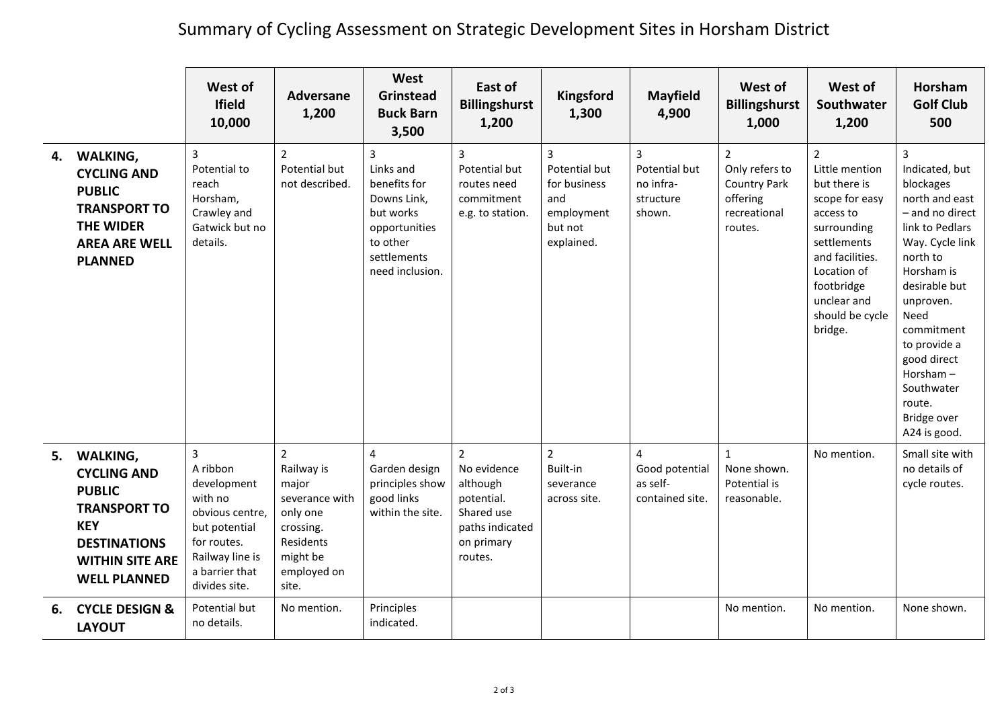## Summary of Cycling Assessment on Strategic Development Sites in Horsham District

|    |                                                                                                                                                                 | West of<br><b>Ifield</b><br>10,000                                                                                                                            | Adversane<br>1,200                                                                                                                | West<br><b>Grinstead</b><br><b>Buck Barn</b><br>3,500                                                                                  | East of<br><b>Billingshurst</b><br>1,200                                                                          | Kingsford<br>1,300                                                                            | <b>Mayfield</b><br>4,900                                                 | West of<br><b>Billingshurst</b><br>1,000                                                      | West of<br>Southwater<br>1,200                                                                                                                                                                             | <b>Horsham</b><br><b>Golf Club</b><br>500                                                                                                                                                                                                                                                   |
|----|-----------------------------------------------------------------------------------------------------------------------------------------------------------------|---------------------------------------------------------------------------------------------------------------------------------------------------------------|-----------------------------------------------------------------------------------------------------------------------------------|----------------------------------------------------------------------------------------------------------------------------------------|-------------------------------------------------------------------------------------------------------------------|-----------------------------------------------------------------------------------------------|--------------------------------------------------------------------------|-----------------------------------------------------------------------------------------------|------------------------------------------------------------------------------------------------------------------------------------------------------------------------------------------------------------|---------------------------------------------------------------------------------------------------------------------------------------------------------------------------------------------------------------------------------------------------------------------------------------------|
|    | 4. WALKING,<br><b>CYCLING AND</b><br><b>PUBLIC</b><br><b>TRANSPORT TO</b><br><b>THE WIDER</b><br><b>AREA ARE WELL</b><br><b>PLANNED</b>                         | 3<br>Potential to<br>reach<br>Horsham,<br>Crawley and<br>Gatwick but no<br>details.                                                                           | $\overline{2}$<br>Potential but<br>not described.                                                                                 | $\overline{3}$<br>Links and<br>benefits for<br>Downs Link,<br>but works<br>opportunities<br>to other<br>settlements<br>need inclusion. | 3<br>Potential but<br>routes need<br>commitment<br>e.g. to station.                                               | $\overline{3}$<br>Potential but<br>for business<br>and<br>employment<br>but not<br>explained. | $\overline{3}$<br>Potential but<br>no infra-<br>structure<br>shown.      | $\mathcal{P}$<br>Only refers to<br><b>Country Park</b><br>offering<br>recreational<br>routes. | $\overline{2}$<br>Little mention<br>but there is<br>scope for easy<br>access to<br>surrounding<br>settlements<br>and facilities.<br>Location of<br>footbridge<br>unclear and<br>should be cycle<br>bridge. | 3<br>Indicated, but<br>blockages<br>north and east<br>- and no direct<br>link to Pedlars<br>Way. Cycle link<br>north to<br>Horsham is<br>desirable but<br>unproven.<br>Need<br>commitment<br>to provide a<br>good direct<br>Horsham-<br>Southwater<br>route.<br>Bridge over<br>A24 is good. |
|    | 5. WALKING,<br><b>CYCLING AND</b><br><b>PUBLIC</b><br><b>TRANSPORT TO</b><br><b>KEY</b><br><b>DESTINATIONS</b><br><b>WITHIN SITE ARE</b><br><b>WELL PLANNED</b> | $\overline{3}$<br>A ribbon<br>development<br>with no<br>obvious centre,<br>but potential<br>for routes.<br>Railway line is<br>a barrier that<br>divides site. | $\overline{2}$<br>Railway is<br>major<br>severance with<br>only one<br>crossing.<br>Residents<br>might be<br>employed on<br>site. | 4<br>Garden design<br>principles show<br>good links<br>within the site.                                                                | $\overline{2}$<br>No evidence<br>although<br>potential.<br>Shared use<br>paths indicated<br>on primary<br>routes. | $\overline{2}$<br>Built-in<br>severance<br>across site.                                       | $\overline{\mathbf{A}}$<br>Good potential<br>as self-<br>contained site. | $\mathbf{1}$<br>None shown.<br>Potential is<br>reasonable.                                    | No mention.                                                                                                                                                                                                | Small site with<br>no details of<br>cycle routes.                                                                                                                                                                                                                                           |
| 6. | <b>CYCLE DESIGN &amp;</b><br><b>LAYOUT</b>                                                                                                                      | Potential but<br>no details.                                                                                                                                  | No mention.                                                                                                                       | Principles<br>indicated.                                                                                                               |                                                                                                                   |                                                                                               |                                                                          | No mention.                                                                                   | No mention.                                                                                                                                                                                                | None shown.                                                                                                                                                                                                                                                                                 |